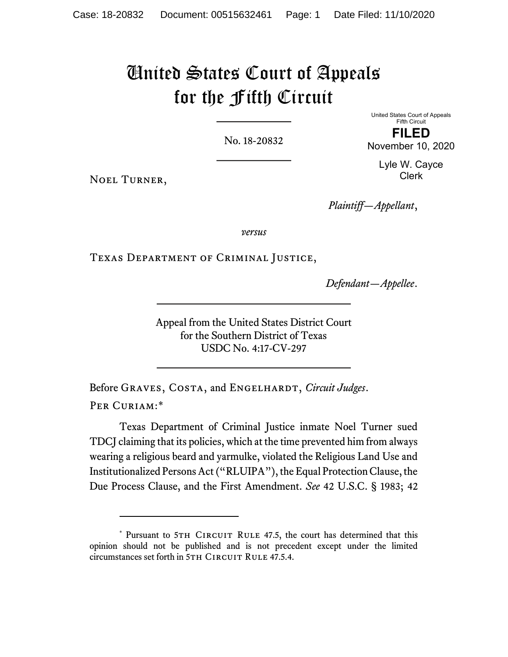# United States Court of Appeals for the Fifth Circuit

No. 18-20832

United States Court of Appeals Fifth Circuit

FILED November 10, 2020

> Lyle W. Cayce Clerk

Noel Turner,

Plaintiff—Appellant,

versus

Texas Department of Criminal Justice,

Defendant—Appellee.

Appeal from the United States District Court for the Southern District of Texas USDC No. 4:17-CV-297

Before GRAVES, COSTA, and ENGELHARDT, Circuit Judges. PER CURIAM:\*

Texas Department of Criminal Justice inmate Noel Turner sued TDCJ claiming that its policies, which at the time prevented him from always wearing a religious beard and yarmulke, violated the Religious Land Use and Institutionalized Persons Act ("RLUIPA"), the Equal Protection Clause, the Due Process Clause, and the First Amendment. See 42 U.S.C. § 1983; 42

<sup>\*</sup> Pursuant to 5TH CIRCUIT RULE 47.5, the court has determined that this opinion should not be published and is not precedent except under the limited circumstances set forth in 5TH CIRCUIT RULE 47.5.4.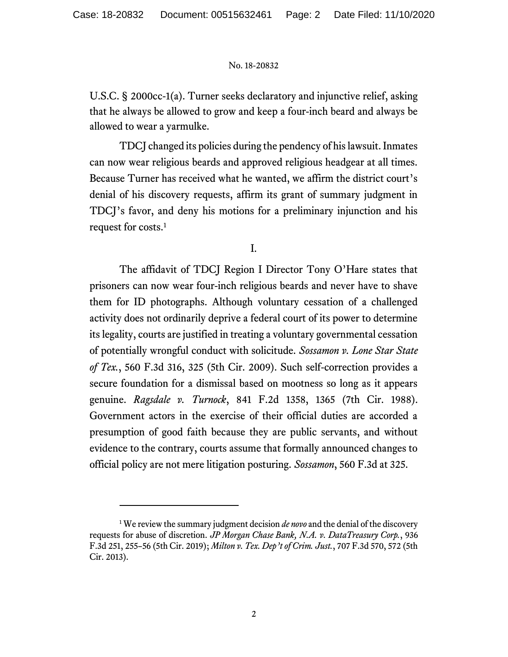U.S.C. § 2000cc-1(a). Turner seeks declaratory and injunctive relief, asking that he always be allowed to grow and keep a four-inch beard and always be allowed to wear a yarmulke.

TDCJ changed its policies during the pendency of his lawsuit. Inmates can now wear religious beards and approved religious headgear at all times. Because Turner has received what he wanted, we affirm the district court's denial of his discovery requests, affirm its grant of summary judgment in TDCJ's favor, and deny his motions for a preliminary injunction and his request for costs.<sup>1</sup>

I.

The affidavit of TDCJ Region I Director Tony O'Hare states that prisoners can now wear four-inch religious beards and never have to shave them for ID photographs. Although voluntary cessation of a challenged activity does not ordinarily deprive a federal court of its power to determine its legality, courts are justified in treating a voluntary governmental cessation of potentially wrongful conduct with solicitude. Sossamon v. Lone Star State of Tex., 560 F.3d 316, 325 (5th Cir. 2009). Such self-correction provides a secure foundation for a dismissal based on mootness so long as it appears genuine. Ragsdale v. Turnock, 841 F.2d 1358, 1365 (7th Cir. 1988). Government actors in the exercise of their official duties are accorded a presumption of good faith because they are public servants, and without evidence to the contrary, courts assume that formally announced changes to official policy are not mere litigation posturing. Sossamon, 560 F.3d at 325.

<sup>&</sup>lt;sup>1</sup> We review the summary judgment decision *de novo* and the denial of the discovery requests for abuse of discretion. JP Morgan Chase Bank, N.A. v. DataTreasury Corp., 936 F.3d 251, 255–56 (5th Cir. 2019); Milton v. Tex. Dep't of Crim. Just., 707 F.3d 570, 572 (5th Cir. 2013).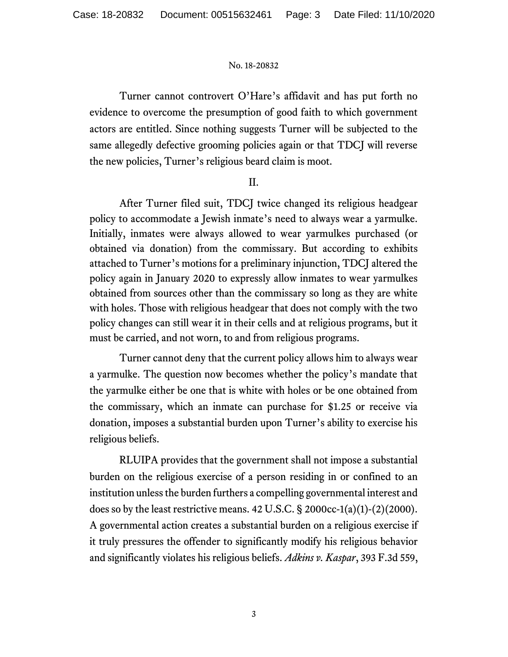Turner cannot controvert O'Hare's affidavit and has put forth no evidence to overcome the presumption of good faith to which government actors are entitled. Since nothing suggests Turner will be subjected to the same allegedly defective grooming policies again or that TDCJ will reverse the new policies, Turner's religious beard claim is moot.

# II.

After Turner filed suit, TDCJ twice changed its religious headgear policy to accommodate a Jewish inmate's need to always wear a yarmulke. Initially, inmates were always allowed to wear yarmulkes purchased (or obtained via donation) from the commissary. But according to exhibits attached to Turner's motions for a preliminary injunction, TDCJ altered the policy again in January 2020 to expressly allow inmates to wear yarmulkes obtained from sources other than the commissary so long as they are white with holes. Those with religious headgear that does not comply with the two policy changes can still wear it in their cells and at religious programs, but it must be carried, and not worn, to and from religious programs.

Turner cannot deny that the current policy allows him to always wear a yarmulke. The question now becomes whether the policy's mandate that the yarmulke either be one that is white with holes or be one obtained from the commissary, which an inmate can purchase for \$1.25 or receive via donation, imposes a substantial burden upon Turner's ability to exercise his religious beliefs.

RLUIPA provides that the government shall not impose a substantial burden on the religious exercise of a person residing in or confined to an institution unless the burden furthers a compelling governmental interest and does so by the least restrictive means. 42 U.S.C.  $\S$  2000cc-1(a)(1)-(2)(2000). A governmental action creates a substantial burden on a religious exercise if it truly pressures the offender to significantly modify his religious behavior and significantly violates his religious beliefs. Adkins v. Kaspar, 393 F.3d 559,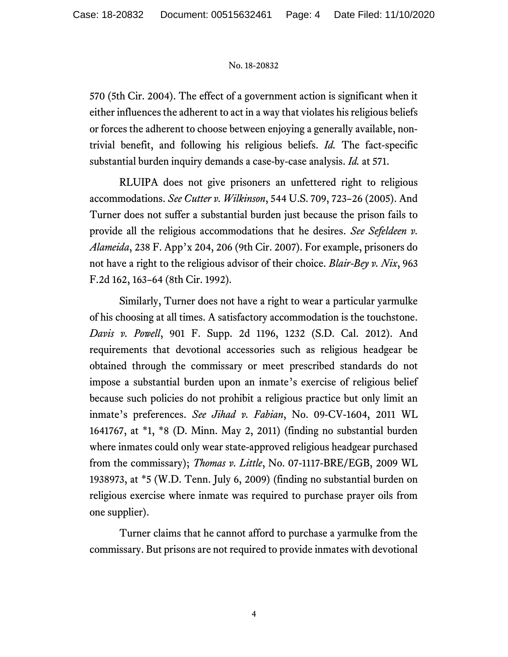570 (5th Cir. 2004). The effect of a government action is significant when it either influences the adherent to act in a way that violates his religious beliefs or forces the adherent to choose between enjoying a generally available, nontrivial benefit, and following his religious beliefs. Id. The fact-specific substantial burden inquiry demands a case-by-case analysis. Id. at 571.

RLUIPA does not give prisoners an unfettered right to religious accommodations. See Cutter v. Wilkinson, 544 U.S. 709, 723–26 (2005). And Turner does not suffer a substantial burden just because the prison fails to provide all the religious accommodations that he desires. See Sefeldeen v. Alameida, 238 F. App'x 204, 206 (9th Cir. 2007). For example, prisoners do not have a right to the religious advisor of their choice. Blair-Bey v. Nix, 963 F.2d 162, 163–64 (8th Cir. 1992).

Similarly, Turner does not have a right to wear a particular yarmulke of his choosing at all times. A satisfactory accommodation is the touchstone. Davis v. Powell, 901 F. Supp. 2d 1196, 1232 (S.D. Cal. 2012). And requirements that devotional accessories such as religious headgear be obtained through the commissary or meet prescribed standards do not impose a substantial burden upon an inmate's exercise of religious belief because such policies do not prohibit a religious practice but only limit an inmate's preferences. See Jihad v. Fabian, No. 09-CV-1604, 2011 WL 1641767, at \*1, \*8 (D. Minn. May 2, 2011) (finding no substantial burden where inmates could only wear state-approved religious headgear purchased from the commissary); Thomas v. Little, No. 07-1117-BRE/EGB, 2009 WL 1938973, at \*5 (W.D. Tenn. July 6, 2009) (finding no substantial burden on religious exercise where inmate was required to purchase prayer oils from one supplier).

Turner claims that he cannot afford to purchase a yarmulke from the commissary. But prisons are not required to provide inmates with devotional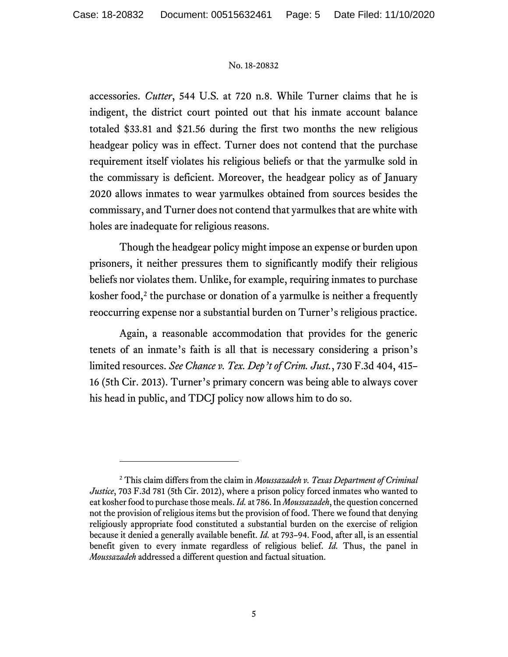accessories. Cutter, 544 U.S. at 720 n.8. While Turner claims that he is indigent, the district court pointed out that his inmate account balance totaled \$33.81 and \$21.56 during the first two months the new religious headgear policy was in effect. Turner does not contend that the purchase requirement itself violates his religious beliefs or that the yarmulke sold in the commissary is deficient. Moreover, the headgear policy as of January 2020 allows inmates to wear yarmulkes obtained from sources besides the commissary, and Turner does not contend that yarmulkes that are white with holes are inadequate for religious reasons.

Though the headgear policy might impose an expense or burden upon prisoners, it neither pressures them to significantly modify their religious beliefs nor violates them. Unlike, for example, requiring inmates to purchase kosher food, $2$  the purchase or donation of a yarmulke is neither a frequently reoccurring expense nor a substantial burden on Turner's religious practice.

Again, a reasonable accommodation that provides for the generic tenets of an inmate's faith is all that is necessary considering a prison's limited resources. See Chance v. Tex. Dep't of Crim. Just., 730 F.3d 404, 415-16 (5th Cir. 2013). Turner's primary concern was being able to always cover his head in public, and TDCJ policy now allows him to do so.

<sup>&</sup>lt;sup>2</sup> This claim differs from the claim in Moussazadeh v. Texas Department of Criminal Justice, 703 F.3d 781 (5th Cir. 2012), where a prison policy forced inmates who wanted to eat kosher food to purchase those meals. Id. at 786. In Moussazadeh, the question concerned not the provision of religious items but the provision of food. There we found that denying religiously appropriate food constituted a substantial burden on the exercise of religion because it denied a generally available benefit. *Id.* at 793–94. Food, after all, is an essential benefit given to every inmate regardless of religious belief. Id. Thus, the panel in Moussazadeh addressed a different question and factual situation.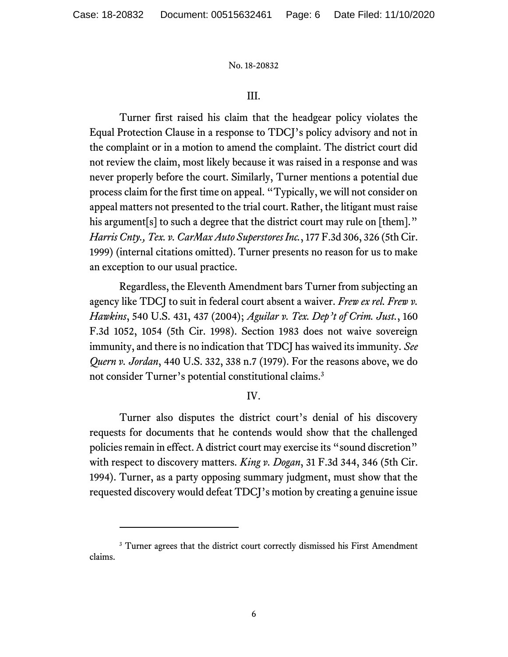### III.

Turner first raised his claim that the headgear policy violates the Equal Protection Clause in a response to TDCJ's policy advisory and not in the complaint or in a motion to amend the complaint. The district court did not review the claim, most likely because it was raised in a response and was never properly before the court. Similarly, Turner mentions a potential due process claim for the first time on appeal. "Typically, we will not consider on appeal matters not presented to the trial court. Rather, the litigant must raise his argument<sup>[s]</sup> to such a degree that the district court may rule on [them]." Harris Cnty., Tex. v. CarMax Auto Superstores Inc., 177 F.3d 306, 326 (5th Cir. 1999) (internal citations omitted). Turner presents no reason for us to make an exception to our usual practice.

Regardless, the Eleventh Amendment bars Turner from subjecting an agency like TDCJ to suit in federal court absent a waiver. Frew ex rel. Frew v. Hawkins, 540 U.S. 431, 437 (2004); Aguilar v. Tex. Dep't of Crim. Just., 160 F.3d 1052, 1054 (5th Cir. 1998). Section 1983 does not waive sovereign immunity, and there is no indication that TDCJ has waived its immunity. See Quern v. Jordan, 440 U.S. 332, 338 n.7 (1979). For the reasons above, we do not consider Turner's potential constitutional claims.<sup>3</sup>

## IV.

Turner also disputes the district court's denial of his discovery requests for documents that he contends would show that the challenged policies remain in effect. A district court may exercise its "sound discretion" with respect to discovery matters. King v. Dogan, 31 F.3d 344, 346 (5th Cir. 1994). Turner, as a party opposing summary judgment, must show that the requested discovery would defeat TDCJ's motion by creating a genuine issue

<sup>&</sup>lt;sup>3</sup> Turner agrees that the district court correctly dismissed his First Amendment claims.